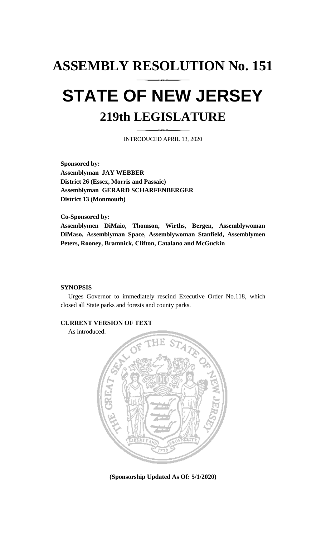## **ASSEMBLY RESOLUTION No. 151 STATE OF NEW JERSEY 219th LEGISLATURE**

INTRODUCED APRIL 13, 2020

**Sponsored by: Assemblyman JAY WEBBER District 26 (Essex, Morris and Passaic) Assemblyman GERARD SCHARFENBERGER District 13 (Monmouth)**

**Co-Sponsored by:**

**Assemblymen DiMaio, Thomson, Wirths, Bergen, Assemblywoman DiMaso, Assemblyman Space, Assemblywoman Stanfield, Assemblymen Peters, Rooney, Bramnick, Clifton, Catalano and McGuckin**

## **SYNOPSIS**

Urges Governor to immediately rescind Executive Order No.118, which closed all State parks and forests and county parks.

## **CURRENT VERSION OF TEXT**

As introduced.



**(Sponsorship Updated As Of: 5/1/2020)**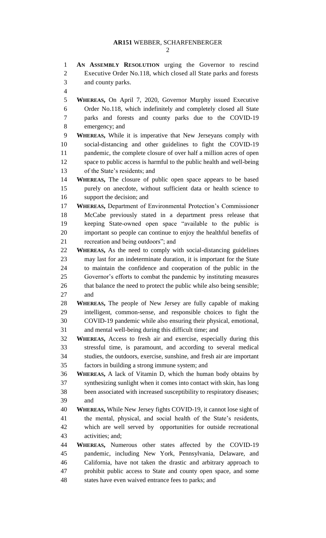**AN ASSEMBLY RESOLUTION** urging the Governor to rescind Executive Order No.118, which closed all State parks and forests

**WHEREAS,** On April 7, 2020, Governor Murphy issued Executive

and county parks.

 Order No.118, which indefinitely and completely closed all State parks and forests and county parks due to the COVID-19 emergency; and **WHEREAS,** While it is imperative that New Jerseyans comply with social-distancing and other guidelines to fight the COVID-19 pandemic, the complete closure of over half a million acres of open space to public access is harmful to the public health and well-being of the State's residents; and **WHEREAS,** The closure of public open space appears to be based purely on anecdote, without sufficient data or health science to support the decision; and **WHEREAS,** Department of Environmental Protection's Commissioner McCabe previously stated in a department press release that keeping State-owned open space "available to the public is important so people can continue to enjoy the healthful benefits of recreation and being outdoors"; and **WHEREAS,** As the need to comply with social-distancing guidelines may last for an indeterminate duration, it is important for the State to maintain the confidence and cooperation of the public in the Governor's efforts to combat the pandemic by instituting measures 26 that balance the need to protect the public while also being sensible; and **WHEREAS,** The people of New Jersey are fully capable of making intelligent, common-sense, and responsible choices to fight the COVID-19 pandemic while also ensuring their physical, emotional, and mental well-being during this difficult time; and **WHEREAS,** Access to fresh air and exercise, especially during this stressful time, is paramount, and according to several medical studies, the outdoors, exercise, sunshine, and fresh air are important factors in building a strong immune system; and **WHEREAS,** A lack of Vitamin D, which the human body obtains by synthesizing sunlight when it comes into contact with skin, has long been associated with increased susceptibility to respiratory diseases; and **WHEREAS,** While New Jersey fights COVID-19, it cannot lose sight of the mental, physical, and social health of the State's residents, which are well served by opportunities for outside recreational activities; and; **WHEREAS,** Numerous other states affected by the COVID-19 pandemic, including New York, Pennsylvania, Delaware, and California, have not taken the drastic and arbitrary approach to prohibit public access to State and county open space, and some

states have even waived entrance fees to parks; and